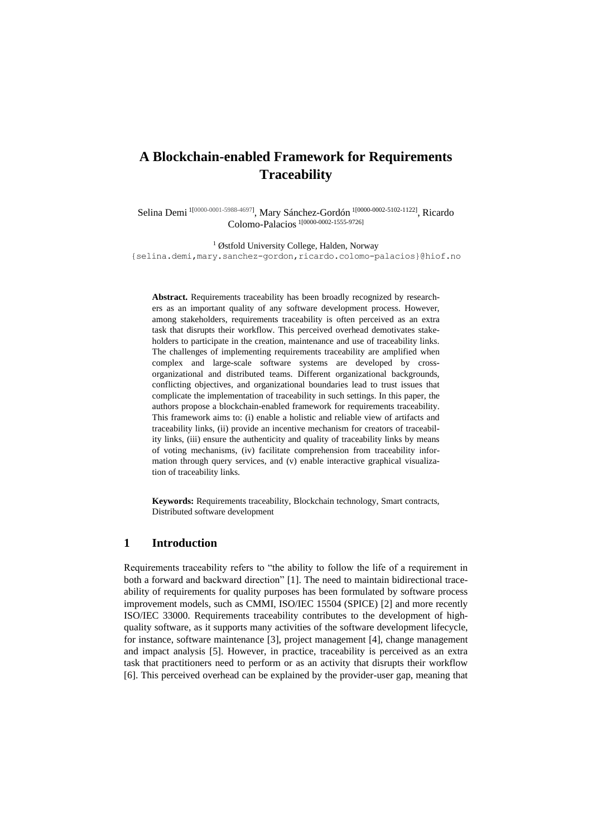# **A Blockchain-enabled Framework for Requirements Traceability**

Selina Demi <sup>1[0000-0001-5988-4697]</sup>, Mary Sánchez-Gordón <sup>1[0000-0002-5102-1122]</sup>, Ricardo Colomo-Palacios 1[0000-0002-1555-9726]

<sup>1</sup> Østfold University College, Halden, Norway {selina.demi,mary.sanchez-gordon,ricardo.colomo-palacios}@hiof.no

**Abstract.** Requirements traceability has been broadly recognized by researchers as an important quality of any software development process. However, among stakeholders, requirements traceability is often perceived as an extra task that disrupts their workflow. This perceived overhead demotivates stakeholders to participate in the creation, maintenance and use of traceability links. The challenges of implementing requirements traceability are amplified when complex and large-scale software systems are developed by crossorganizational and distributed teams. Different organizational backgrounds, conflicting objectives, and organizational boundaries lead to trust issues that complicate the implementation of traceability in such settings. In this paper, the authors propose a blockchain-enabled framework for requirements traceability. This framework aims to: (i) enable a holistic and reliable view of artifacts and traceability links, (ii) provide an incentive mechanism for creators of traceability links, (iii) ensure the authenticity and quality of traceability links by means of voting mechanisms, (iv) facilitate comprehension from traceability information through query services, and (v) enable interactive graphical visualization of traceability links.

**Keywords:** Requirements traceability, Blockchain technology, Smart contracts, Distributed software development

### **1 Introduction**

Requirements traceability refers to "the ability to follow the life of a requirement in both a forward and backward direction" [1]. The need to maintain bidirectional traceability of requirements for quality purposes has been formulated by software process improvement models, such as CMMI, ISO/IEC 15504 (SPICE) [2] and more recently ISO/IEC 33000. Requirements traceability contributes to the development of highquality software, as it supports many activities of the software development lifecycle, for instance, software maintenance [3], project management [4], change management and impact analysis [5]. However, in practice, traceability is perceived as an extra task that practitioners need to perform or as an activity that disrupts their workflow [6]. This perceived overhead can be explained by the provider-user gap, meaning that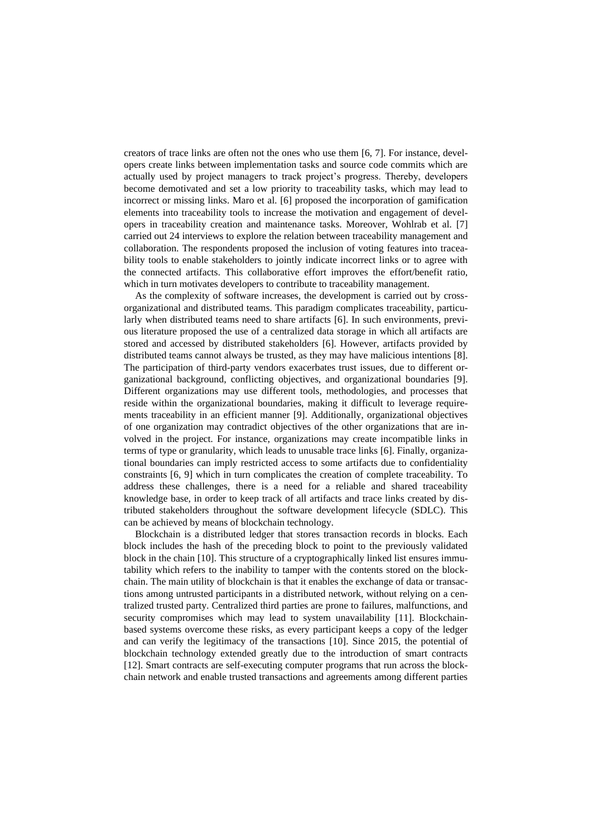creators of trace links are often not the ones who use them [6, 7]. For instance, developers create links between implementation tasks and source code commits which are actually used by project managers to track project's progress. Thereby, developers become demotivated and set a low priority to traceability tasks, which may lead to incorrect or missing links. Maro et al. [6] proposed the incorporation of gamification elements into traceability tools to increase the motivation and engagement of developers in traceability creation and maintenance tasks. Moreover, Wohlrab et al. [7] carried out 24 interviews to explore the relation between traceability management and collaboration. The respondents proposed the inclusion of voting features into traceability tools to enable stakeholders to jointly indicate incorrect links or to agree with the connected artifacts. This collaborative effort improves the effort/benefit ratio, which in turn motivates developers to contribute to traceability management.

As the complexity of software increases, the development is carried out by crossorganizational and distributed teams. This paradigm complicates traceability, particularly when distributed teams need to share artifacts [6]. In such environments, previous literature proposed the use of a centralized data storage in which all artifacts are stored and accessed by distributed stakeholders [6]. However, artifacts provided by distributed teams cannot always be trusted, as they may have malicious intentions [8]. The participation of third-party vendors exacerbates trust issues, due to different organizational background, conflicting objectives, and organizational boundaries [9]. Different organizations may use different tools, methodologies, and processes that reside within the organizational boundaries, making it difficult to leverage requirements traceability in an efficient manner [9]. Additionally, organizational objectives of one organization may contradict objectives of the other organizations that are involved in the project. For instance, organizations may create incompatible links in terms of type or granularity, which leads to unusable trace links [6]. Finally, organizational boundaries can imply restricted access to some artifacts due to confidentiality constraints [6, 9] which in turn complicates the creation of complete traceability. To address these challenges, there is a need for a reliable and shared traceability knowledge base, in order to keep track of all artifacts and trace links created by distributed stakeholders throughout the software development lifecycle (SDLC). This can be achieved by means of blockchain technology.

Blockchain is a distributed ledger that stores transaction records in blocks. Each block includes the hash of the preceding block to point to the previously validated block in the chain [10]. This structure of a cryptographically linked list ensures immutability which refers to the inability to tamper with the contents stored on the blockchain. The main utility of blockchain is that it enables the exchange of data or transactions among untrusted participants in a distributed network, without relying on a centralized trusted party. Centralized third parties are prone to failures, malfunctions, and security compromises which may lead to system unavailability [11]. Blockchainbased systems overcome these risks, as every participant keeps a copy of the ledger and can verify the legitimacy of the transactions [10]. Since 2015, the potential of blockchain technology extended greatly due to the introduction of smart contracts [12]. Smart contracts are self-executing computer programs that run across the blockchain network and enable trusted transactions and agreements among different parties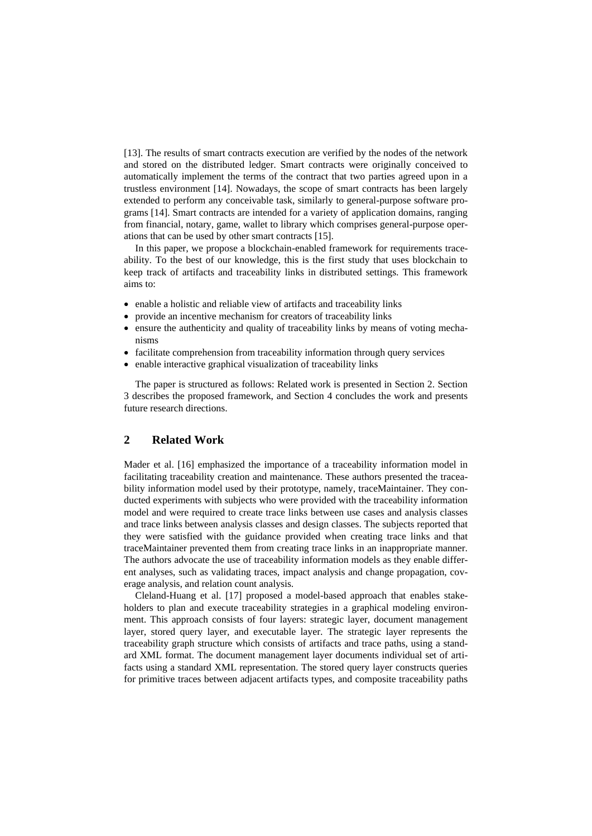[13]. The results of smart contracts execution are verified by the nodes of the network and stored on the distributed ledger. Smart contracts were originally conceived to automatically implement the terms of the contract that two parties agreed upon in a trustless environment [14]. Nowadays, the scope of smart contracts has been largely extended to perform any conceivable task, similarly to general-purpose software programs [14]. Smart contracts are intended for a variety of application domains, ranging from financial, notary, game, wallet to library which comprises general-purpose operations that can be used by other smart contracts [15].

In this paper, we propose a blockchain-enabled framework for requirements traceability. To the best of our knowledge, this is the first study that uses blockchain to keep track of artifacts and traceability links in distributed settings. This framework aims to:

- enable a holistic and reliable view of artifacts and traceability links
- provide an incentive mechanism for creators of traceability links
- ensure the authenticity and quality of traceability links by means of voting mechanisms
- facilitate comprehension from traceability information through query services
- enable interactive graphical visualization of traceability links

The paper is structured as follows: Related work is presented in Section 2. Section 3 describes the proposed framework, and Section 4 concludes the work and presents future research directions.

# **2 Related Work**

Mader et al. [16] emphasized the importance of a traceability information model in facilitating traceability creation and maintenance. These authors presented the traceability information model used by their prototype, namely, traceMaintainer. They conducted experiments with subjects who were provided with the traceability information model and were required to create trace links between use cases and analysis classes and trace links between analysis classes and design classes. The subjects reported that they were satisfied with the guidance provided when creating trace links and that traceMaintainer prevented them from creating trace links in an inappropriate manner. The authors advocate the use of traceability information models as they enable different analyses, such as validating traces, impact analysis and change propagation, coverage analysis, and relation count analysis.

Cleland-Huang et al. [17] proposed a model-based approach that enables stakeholders to plan and execute traceability strategies in a graphical modeling environment. This approach consists of four layers: strategic layer, document management layer, stored query layer, and executable layer. The strategic layer represents the traceability graph structure which consists of artifacts and trace paths, using a standard XML format. The document management layer documents individual set of artifacts using a standard XML representation. The stored query layer constructs queries for primitive traces between adjacent artifacts types, and composite traceability paths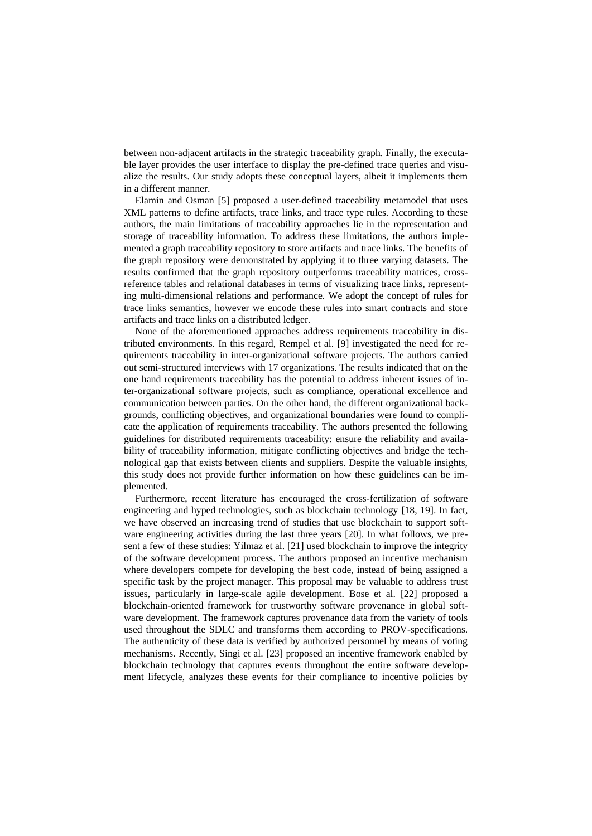between non-adjacent artifacts in the strategic traceability graph. Finally, the executable layer provides the user interface to display the pre-defined trace queries and visualize the results. Our study adopts these conceptual layers, albeit it implements them in a different manner.

Elamin and Osman [5] proposed a user-defined traceability metamodel that uses XML patterns to define artifacts, trace links, and trace type rules. According to these authors, the main limitations of traceability approaches lie in the representation and storage of traceability information. To address these limitations, the authors implemented a graph traceability repository to store artifacts and trace links. The benefits of the graph repository were demonstrated by applying it to three varying datasets. The results confirmed that the graph repository outperforms traceability matrices, crossreference tables and relational databases in terms of visualizing trace links, representing multi-dimensional relations and performance. We adopt the concept of rules for trace links semantics, however we encode these rules into smart contracts and store artifacts and trace links on a distributed ledger.

None of the aforementioned approaches address requirements traceability in distributed environments. In this regard, Rempel et al. [9] investigated the need for requirements traceability in inter-organizational software projects. The authors carried out semi-structured interviews with 17 organizations. The results indicated that on the one hand requirements traceability has the potential to address inherent issues of inter-organizational software projects, such as compliance, operational excellence and communication between parties. On the other hand, the different organizational backgrounds, conflicting objectives, and organizational boundaries were found to complicate the application of requirements traceability. The authors presented the following guidelines for distributed requirements traceability: ensure the reliability and availability of traceability information, mitigate conflicting objectives and bridge the technological gap that exists between clients and suppliers. Despite the valuable insights, this study does not provide further information on how these guidelines can be implemented.

Furthermore, recent literature has encouraged the cross-fertilization of software engineering and hyped technologies, such as blockchain technology [18, 19]. In fact, we have observed an increasing trend of studies that use blockchain to support software engineering activities during the last three years [20]. In what follows, we present a few of these studies: Yilmaz et al. [21] used blockchain to improve the integrity of the software development process. The authors proposed an incentive mechanism where developers compete for developing the best code, instead of being assigned a specific task by the project manager. This proposal may be valuable to address trust issues, particularly in large-scale agile development. Bose et al. [22] proposed a blockchain-oriented framework for trustworthy software provenance in global software development. The framework captures provenance data from the variety of tools used throughout the SDLC and transforms them according to PROV-specifications. The authenticity of these data is verified by authorized personnel by means of voting mechanisms. Recently, Singi et al. [23] proposed an incentive framework enabled by blockchain technology that captures events throughout the entire software development lifecycle, analyzes these events for their compliance to incentive policies by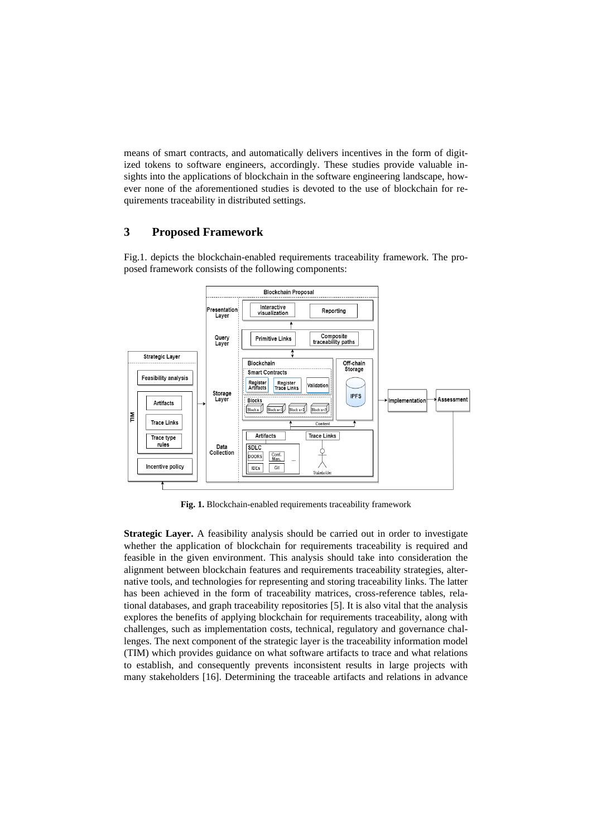means of smart contracts, and automatically delivers incentives in the form of digitized tokens to software engineers, accordingly. These studies provide valuable insights into the applications of blockchain in the software engineering landscape, however none of the aforementioned studies is devoted to the use of blockchain for requirements traceability in distributed settings.

### **3 Proposed Framework**

Fig.1. depicts the blockchain-enabled requirements traceability framework. The proposed framework consists of the following components:



**Fig. 1.** Blockchain-enabled requirements traceability framework

**Strategic Layer.** A feasibility analysis should be carried out in order to investigate whether the application of blockchain for requirements traceability is required and feasible in the given environment. This analysis should take into consideration the alignment between blockchain features and requirements traceability strategies, alternative tools, and technologies for representing and storing traceability links. The latter has been achieved in the form of traceability matrices, cross-reference tables, relational databases, and graph traceability repositories [5]. It is also vital that the analysis explores the benefits of applying blockchain for requirements traceability, along with challenges, such as implementation costs, technical, regulatory and governance challenges. The next component of the strategic layer is the traceability information model (TIM) which provides guidance on what software artifacts to trace and what relations to establish, and consequently prevents inconsistent results in large projects with many stakeholders [16]. Determining the traceable artifacts and relations in advance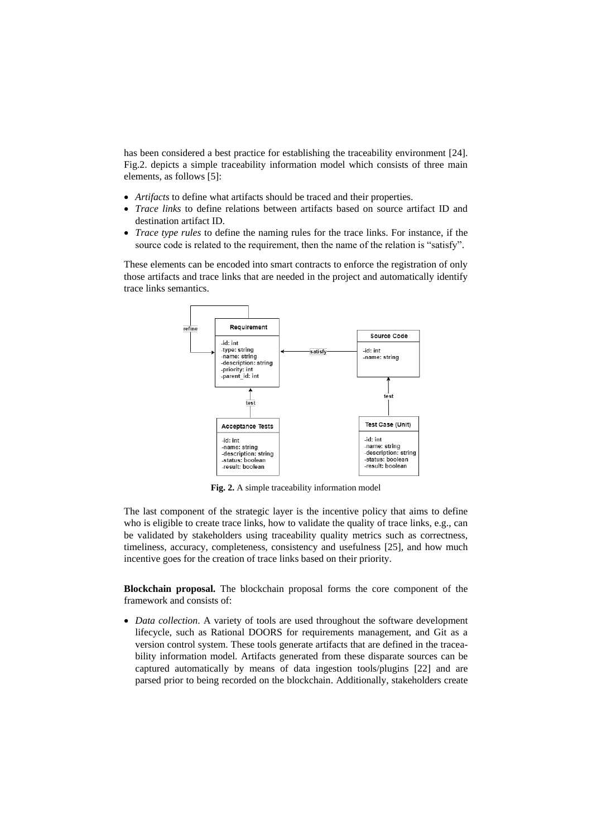has been considered a best practice for establishing the traceability environment [24]. Fig.2. depicts a simple traceability information model which consists of three main elements, as follows [5]:

- *Artifacts* to define what artifacts should be traced and their properties.
- *Trace links* to define relations between artifacts based on source artifact ID and destination artifact ID.
- *Trace type rules* to define the naming rules for the trace links. For instance, if the source code is related to the requirement, then the name of the relation is "satisfy".

These elements can be encoded into smart contracts to enforce the registration of only those artifacts and trace links that are needed in the project and automatically identify trace links semantics.



**Fig. 2.** A simple traceability information model

The last component of the strategic layer is the incentive policy that aims to define who is eligible to create trace links, how to validate the quality of trace links, e.g., can be validated by stakeholders using traceability quality metrics such as correctness, timeliness, accuracy, completeness, consistency and usefulness [25], and how much incentive goes for the creation of trace links based on their priority.

**Blockchain proposal.** The blockchain proposal forms the core component of the framework and consists of:

• *Data collection*. A variety of tools are used throughout the software development lifecycle, such as Rational DOORS for requirements management, and Git as a version control system. These tools generate artifacts that are defined in the traceability information model. Artifacts generated from these disparate sources can be captured automatically by means of data ingestion tools/plugins [22] and are parsed prior to being recorded on the blockchain. Additionally, stakeholders create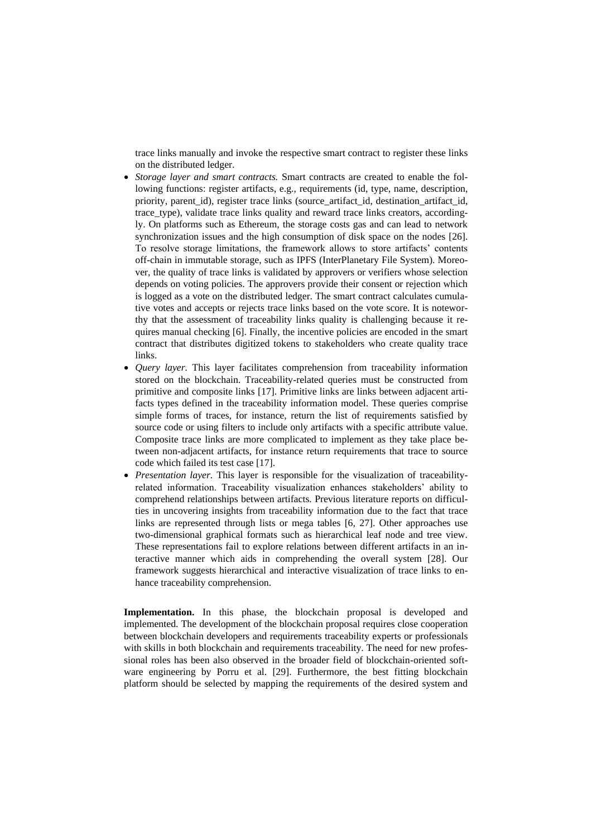trace links manually and invoke the respective smart contract to register these links on the distributed ledger.

- *Storage layer and smart contracts.* Smart contracts are created to enable the following functions: register artifacts, e.g., requirements (id, type, name, description, priority, parent\_id), register trace links (source\_artifact\_id, destination\_artifact\_id, trace\_type), validate trace links quality and reward trace links creators, accordingly. On platforms such as Ethereum, the storage costs gas and can lead to network synchronization issues and the high consumption of disk space on the nodes [26]. To resolve storage limitations, the framework allows to store artifacts' contents off-chain in immutable storage, such as IPFS (InterPlanetary File System). Moreover, the quality of trace links is validated by approvers or verifiers whose selection depends on voting policies. The approvers provide their consent or rejection which is logged as a vote on the distributed ledger. The smart contract calculates cumulative votes and accepts or rejects trace links based on the vote score. It is noteworthy that the assessment of traceability links quality is challenging because it requires manual checking [6]. Finally, the incentive policies are encoded in the smart contract that distributes digitized tokens to stakeholders who create quality trace links.
- *Query layer.* This layer facilitates comprehension from traceability information stored on the blockchain. Traceability-related queries must be constructed from primitive and composite links [17]. Primitive links are links between adjacent artifacts types defined in the traceability information model. These queries comprise simple forms of traces, for instance, return the list of requirements satisfied by source code or using filters to include only artifacts with a specific attribute value. Composite trace links are more complicated to implement as they take place between non-adjacent artifacts, for instance return requirements that trace to source code which failed its test case [17].
- *Presentation layer.* This layer is responsible for the visualization of traceabilityrelated information. Traceability visualization enhances stakeholders' ability to comprehend relationships between artifacts. Previous literature reports on difficulties in uncovering insights from traceability information due to the fact that trace links are represented through lists or mega tables [6, 27]. Other approaches use two-dimensional graphical formats such as hierarchical leaf node and tree view. These representations fail to explore relations between different artifacts in an interactive manner which aids in comprehending the overall system [28]. Our framework suggests hierarchical and interactive visualization of trace links to enhance traceability comprehension.

**Implementation.** In this phase, the blockchain proposal is developed and implemented. The development of the blockchain proposal requires close cooperation between blockchain developers and requirements traceability experts or professionals with skills in both blockchain and requirements traceability. The need for new professional roles has been also observed in the broader field of blockchain-oriented software engineering by Porru et al. [29]. Furthermore, the best fitting blockchain platform should be selected by mapping the requirements of the desired system and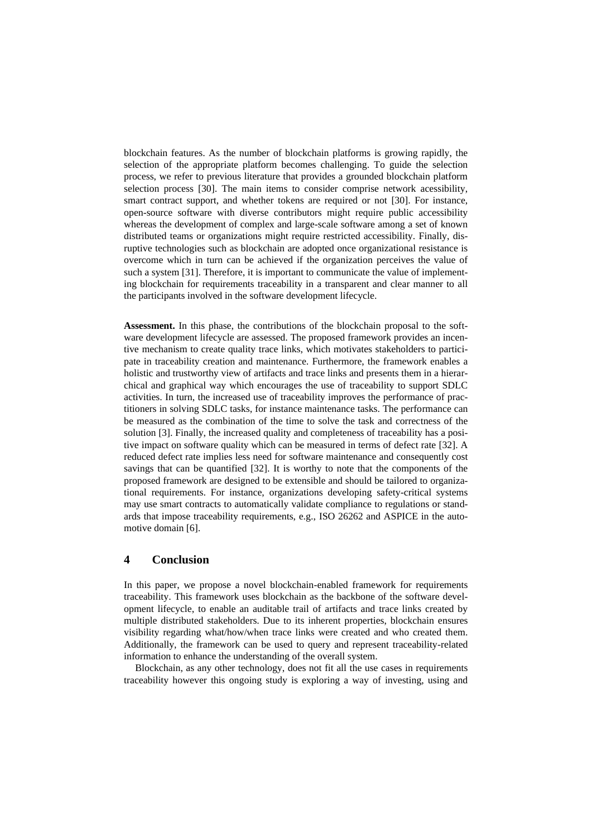blockchain features. As the number of blockchain platforms is growing rapidly, the selection of the appropriate platform becomes challenging. To guide the selection process, we refer to previous literature that provides a grounded blockchain platform selection process [30]. The main items to consider comprise network acessibility, smart contract support, and whether tokens are required or not [30]. For instance, open-source software with diverse contributors might require public accessibility whereas the development of complex and large-scale software among a set of known distributed teams or organizations might require restricted accessibility. Finally, disruptive technologies such as blockchain are adopted once organizational resistance is overcome which in turn can be achieved if the organization perceives the value of such a system [31]. Therefore, it is important to communicate the value of implementing blockchain for requirements traceability in a transparent and clear manner to all the participants involved in the software development lifecycle.

**Assessment.** In this phase, the contributions of the blockchain proposal to the software development lifecycle are assessed. The proposed framework provides an incentive mechanism to create quality trace links, which motivates stakeholders to participate in traceability creation and maintenance. Furthermore, the framework enables a holistic and trustworthy view of artifacts and trace links and presents them in a hierarchical and graphical way which encourages the use of traceability to support SDLC activities. In turn, the increased use of traceability improves the performance of practitioners in solving SDLC tasks, for instance maintenance tasks. The performance can be measured as the combination of the time to solve the task and correctness of the solution [3]. Finally, the increased quality and completeness of traceability has a positive impact on software quality which can be measured in terms of defect rate [32]. A reduced defect rate implies less need for software maintenance and consequently cost savings that can be quantified [32]. It is worthy to note that the components of the proposed framework are designed to be extensible and should be tailored to organizational requirements. For instance, organizations developing safety-critical systems may use smart contracts to automatically validate compliance to regulations or standards that impose traceability requirements, e.g., ISO 26262 and ASPICE in the automotive domain [6].

## **4 Conclusion**

In this paper, we propose a novel blockchain-enabled framework for requirements traceability. This framework uses blockchain as the backbone of the software development lifecycle, to enable an auditable trail of artifacts and trace links created by multiple distributed stakeholders. Due to its inherent properties, blockchain ensures visibility regarding what/how/when trace links were created and who created them. Additionally, the framework can be used to query and represent traceability-related information to enhance the understanding of the overall system.

Blockchain, as any other technology, does not fit all the use cases in requirements traceability however this ongoing study is exploring a way of investing, using and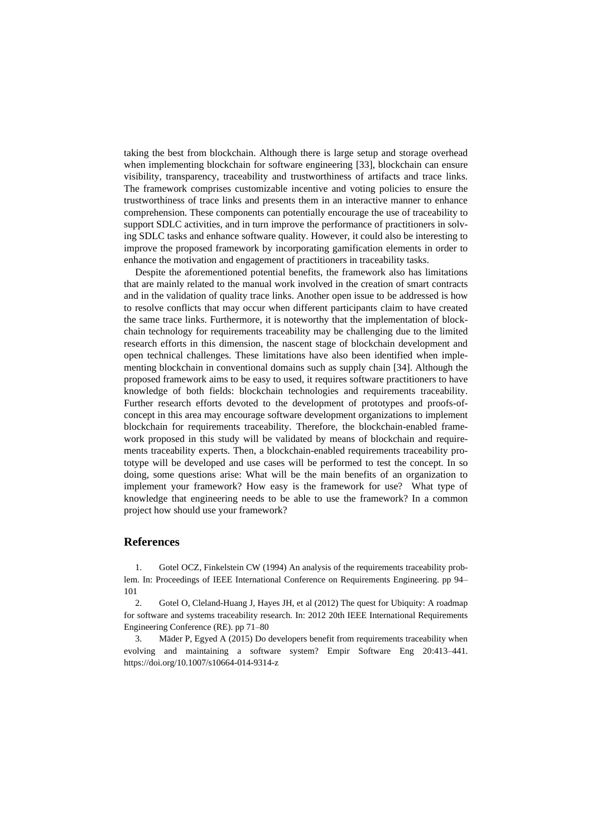taking the best from blockchain. Although there is large setup and storage overhead when implementing blockchain for software engineering [33], blockchain can ensure visibility, transparency, traceability and trustworthiness of artifacts and trace links. The framework comprises customizable incentive and voting policies to ensure the trustworthiness of trace links and presents them in an interactive manner to enhance comprehension. These components can potentially encourage the use of traceability to support SDLC activities, and in turn improve the performance of practitioners in solving SDLC tasks and enhance software quality. However, it could also be interesting to improve the proposed framework by incorporating gamification elements in order to enhance the motivation and engagement of practitioners in traceability tasks.

Despite the aforementioned potential benefits, the framework also has limitations that are mainly related to the manual work involved in the creation of smart contracts and in the validation of quality trace links. Another open issue to be addressed is how to resolve conflicts that may occur when different participants claim to have created the same trace links. Furthermore, it is noteworthy that the implementation of blockchain technology for requirements traceability may be challenging due to the limited research efforts in this dimension, the nascent stage of blockchain development and open technical challenges. These limitations have also been identified when implementing blockchain in conventional domains such as supply chain [34]. Although the proposed framework aims to be easy to used, it requires software practitioners to have knowledge of both fields: blockchain technologies and requirements traceability. Further research efforts devoted to the development of prototypes and proofs-ofconcept in this area may encourage software development organizations to implement blockchain for requirements traceability. Therefore, the blockchain-enabled framework proposed in this study will be validated by means of blockchain and requirements traceability experts. Then, a blockchain-enabled requirements traceability prototype will be developed and use cases will be performed to test the concept. In so doing, some questions arise: What will be the main benefits of an organization to implement your framework? How easy is the framework for use? What type of knowledge that engineering needs to be able to use the framework? In a common project how should use your framework?

#### **References**

1. Gotel OCZ, Finkelstein CW (1994) An analysis of the requirements traceability problem. In: Proceedings of IEEE International Conference on Requirements Engineering. pp 94– 101

2. Gotel O, Cleland-Huang J, Hayes JH, et al (2012) The quest for Ubiquity: A roadmap for software and systems traceability research. In: 2012 20th IEEE International Requirements Engineering Conference (RE). pp 71–80

3. Mäder P, Egyed A (2015) Do developers benefit from requirements traceability when evolving and maintaining a software system? Empir Software Eng 20:413–441. https://doi.org/10.1007/s10664-014-9314-z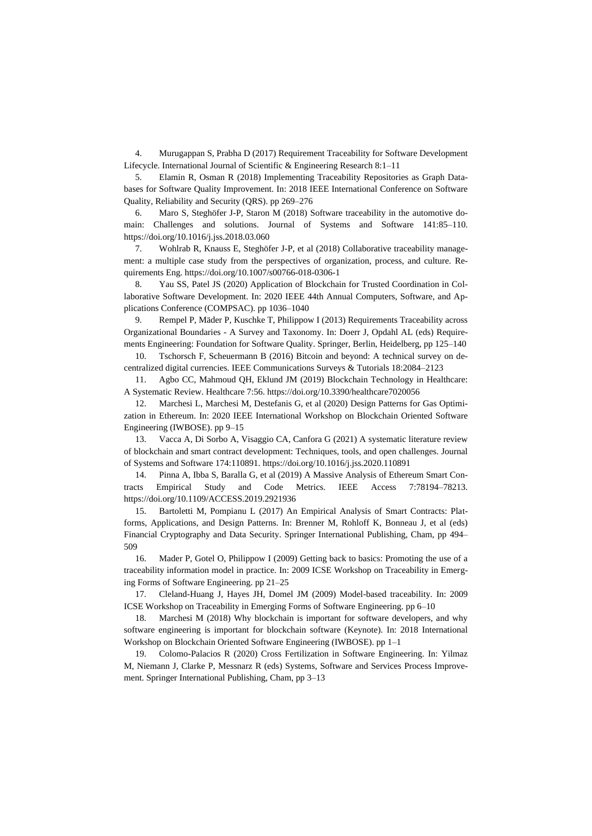4. Murugappan S, Prabha D (2017) Requirement Traceability for Software Development Lifecycle. International Journal of Scientific & Engineering Research 8:1–11

5. Elamin R, Osman R (2018) Implementing Traceability Repositories as Graph Databases for Software Quality Improvement. In: 2018 IEEE International Conference on Software Quality, Reliability and Security (QRS). pp 269–276

6. Maro S, Steghöfer J-P, Staron M (2018) Software traceability in the automotive domain: Challenges and solutions. Journal of Systems and Software 141:85–110. https://doi.org/10.1016/j.jss.2018.03.060

7. Wohlrab R, Knauss E, Steghöfer J-P, et al (2018) Collaborative traceability management: a multiple case study from the perspectives of organization, process, and culture. Requirements Eng. https://doi.org/10.1007/s00766-018-0306-1

8. Yau SS, Patel JS (2020) Application of Blockchain for Trusted Coordination in Collaborative Software Development. In: 2020 IEEE 44th Annual Computers, Software, and Applications Conference (COMPSAC). pp 1036–1040

9. Rempel P, Mäder P, Kuschke T, Philippow I (2013) Requirements Traceability across Organizational Boundaries - A Survey and Taxonomy. In: Doerr J, Opdahl AL (eds) Requirements Engineering: Foundation for Software Quality. Springer, Berlin, Heidelberg, pp 125–140

10. Tschorsch F, Scheuermann B (2016) Bitcoin and beyond: A technical survey on decentralized digital currencies. IEEE Communications Surveys & Tutorials 18:2084–2123

11. Agbo CC, Mahmoud QH, Eklund JM (2019) Blockchain Technology in Healthcare: A Systematic Review. Healthcare 7:56. https://doi.org/10.3390/healthcare7020056

12. Marchesi L, Marchesi M, Destefanis G, et al (2020) Design Patterns for Gas Optimization in Ethereum. In: 2020 IEEE International Workshop on Blockchain Oriented Software Engineering (IWBOSE). pp 9–15

13. Vacca A, Di Sorbo A, Visaggio CA, Canfora G (2021) A systematic literature review of blockchain and smart contract development: Techniques, tools, and open challenges. Journal of Systems and Software 174:110891. https://doi.org/10.1016/j.jss.2020.110891

14. Pinna A, Ibba S, Baralla G, et al (2019) A Massive Analysis of Ethereum Smart Contracts Empirical Study and Code Metrics. IEEE Access 7:78194–78213. https://doi.org/10.1109/ACCESS.2019.2921936

15. Bartoletti M, Pompianu L (2017) An Empirical Analysis of Smart Contracts: Platforms, Applications, and Design Patterns. In: Brenner M, Rohloff K, Bonneau J, et al (eds) Financial Cryptography and Data Security. Springer International Publishing, Cham, pp 494– 509

16. Mader P, Gotel O, Philippow I (2009) Getting back to basics: Promoting the use of a traceability information model in practice. In: 2009 ICSE Workshop on Traceability in Emerging Forms of Software Engineering. pp 21–25

17. Cleland-Huang J, Hayes JH, Domel JM (2009) Model-based traceability. In: 2009 ICSE Workshop on Traceability in Emerging Forms of Software Engineering. pp 6–10

18. Marchesi M (2018) Why blockchain is important for software developers, and why software engineering is important for blockchain software (Keynote). In: 2018 International Workshop on Blockchain Oriented Software Engineering (IWBOSE). pp 1–1

19. Colomo-Palacios R (2020) Cross Fertilization in Software Engineering. In: Yilmaz M, Niemann J, Clarke P, Messnarz R (eds) Systems, Software and Services Process Improvement. Springer International Publishing, Cham, pp 3–13